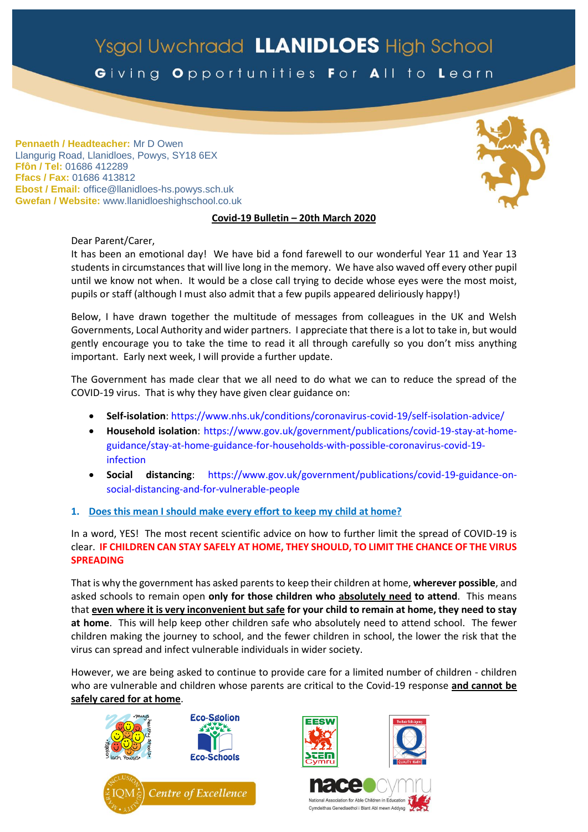# Ysgol Uwchradd LLANIDLOES High School

Giving Opportunities For All to Learn

**Pennaeth / Headteacher:** Mr D Owen Llangurig Road, Llanidloes, Powys, SY18 6EX **Ffôn / Tel:** 01686 412289 **Ffacs / Fax:** 01686 413812 **Ebost / Email:** office@llanidloes-hs.powys.sch.uk **Gwefan / Website:** www.llanidloeshighschool.co.uk

## **Covid-19 Bulletin – 20th March 2020**

Dear Parent/Carer,

It has been an emotional day! We have bid a fond farewell to our wonderful Year 11 and Year 13 students in circumstances that will live long in the memory. We have also waved off every other pupil until we know not when. It would be a close call trying to decide whose eyes were the most moist, pupils or staff (although I must also admit that a few pupils appeared deliriously happy!)

Below, I have drawn together the multitude of messages from colleagues in the UK and Welsh Governments, Local Authority and wider partners. I appreciate that there is a lot to take in, but would gently encourage you to take the time to read it all through carefully so you don't miss anything important. Early next week, I will provide a further update.

The Government has made clear that we all need to do what we can to reduce the spread of the COVID-19 virus. That is why they have given clear guidance on:

- **<Self-isolation>**:<https://www.nhs.uk/conditions/coronavirus-covid-19/self-isolation-advice/>
- **[Household isolation](https://www.gov.uk/government/publications/covid-19-stay-at-home-guidance)**: [https://www.gov.uk/government/publications/covid-19-stay-at-home](https://www.gov.uk/government/publications/covid-19-stay-at-home-guidance/stay-at-home-guidance-for-households-with-possible-coronavirus-covid-19-infection)[guidance/stay-at-home-guidance-for-households-with-possible-coronavirus-covid-19](https://www.gov.uk/government/publications/covid-19-stay-at-home-guidance/stay-at-home-guidance-for-households-with-possible-coronavirus-covid-19-infection) [infection](https://www.gov.uk/government/publications/covid-19-stay-at-home-guidance/stay-at-home-guidance-for-households-with-possible-coronavirus-covid-19-infection)
- **[Social distancing](https://www.gov.uk/government/publications/covid-19-guidance-on-social-distancing-and-for-vulnerable-people)**: [https://www.gov.uk/government/publications/covid-19-guidance-on](https://www.gov.uk/government/publications/covid-19-guidance-on-social-distancing-and-for-vulnerable-people)[social-distancing-and-for-vulnerable-people](https://www.gov.uk/government/publications/covid-19-guidance-on-social-distancing-and-for-vulnerable-people)
- **1. Does this mean I should make every effort to keep my child at home?**

In a word, YES! The most recent scientific advice on how to further limit the spread of COVID-19 is clear. **IF CHILDREN CAN STAY SAFELY AT HOME, THEY SHOULD, TO LIMIT THE CHANCE OF THE VIRUS SPREADING**

That is why the government has asked parents to keep their children at home, **wherever possible**, and asked schools to remain open **only for those children who absolutely need to attend**. This means that **even where it is very inconvenient but safe for your child to remain at home, they need to stay at home**. This will help keep other children safe who absolutely need to attend school. The fewer children making the journey to school, and the fewer children in school, the lower the risk that the virus can spread and infect vulnerable individuals in wider society.

However, we are being asked to continue to provide care for a limited number of children - children who are vulnerable and children whose parents are critical to the Covid-19 response **and cannot be safely cared for at home**.







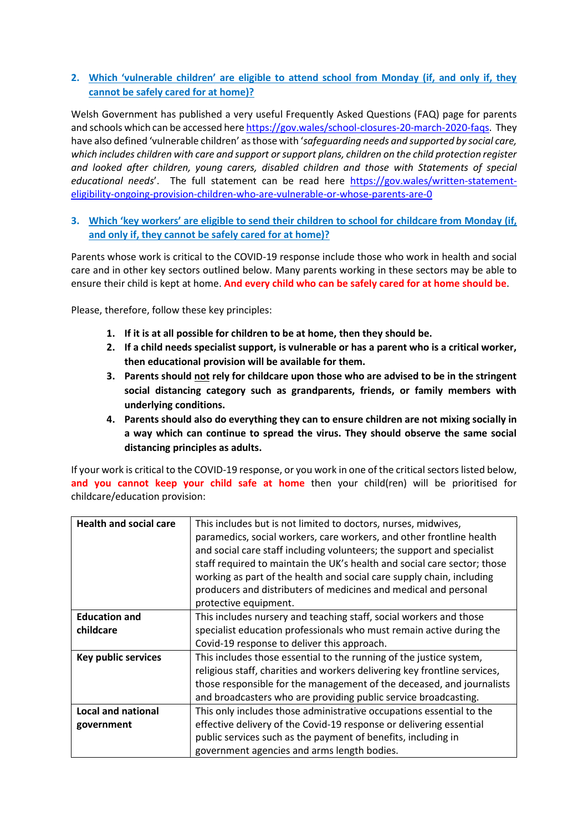# **2. Which 'vulnerable children' are eligible to attend school from Monday (if, and only if, they cannot be safely cared for at home)?**

Welsh Government has published a very useful Frequently Asked Questions (FAQ) page for parents and schools which can be accessed her[e https://gov.wales/school-closures-20-march-2020-faqs.](https://gov.wales/school-closures-20-march-2020-faqs) They have also defined 'vulnerable children' asthose with '*safeguarding needs and supported by social care, which includes children with care and support or support plans, children on the child protection register and looked after children, young carers, disabled children and those with Statements of special educational needs*'. The full statement can be read here [https://gov.wales/written-statement](https://gov.wales/written-statement-eligibility-ongoing-provision-children-who-are-vulnerable-or-whose-parents-are-0)[eligibility-ongoing-provision-children-who-are-vulnerable-or-whose-parents-are-0](https://gov.wales/written-statement-eligibility-ongoing-provision-children-who-are-vulnerable-or-whose-parents-are-0)

# **3. Which 'key workers' are eligible to send their children to school for childcare from Monday (if, and only if, they cannot be safely cared for at home)?**

Parents whose work is critical to the COVID-19 response include those who work in health and social care and in other key sectors outlined below. Many parents working in these sectors may be able to ensure their child is kept at home. **And every child who can be safely cared for at home should be**.

Please, therefore, follow these key principles:

- **1. If it is at all possible for children to be at home, then they should be.**
- **2. If a child needs specialist support, is vulnerable or has a parent who is a critical worker, then educational provision will be available for them.**
- **3. Parents should not rely for childcare upon those who are advised to be in the stringent social distancing category such as grandparents, friends, or family members with underlying conditions.**
- **4. Parents should also do everything they can to ensure children are not mixing socially in a way which can continue to spread the virus. They should observe the same social distancing principles as adults.**

If your work is critical to the COVID-19 response, or you work in one of the critical sectors listed below, **and you cannot keep your child safe at home** then your child(ren) will be prioritised for childcare/education provision:

| <b>Health and social care</b> | This includes but is not limited to doctors, nurses, midwives,            |
|-------------------------------|---------------------------------------------------------------------------|
|                               | paramedics, social workers, care workers, and other frontline health      |
|                               | and social care staff including volunteers; the support and specialist    |
|                               | staff required to maintain the UK's health and social care sector; those  |
|                               | working as part of the health and social care supply chain, including     |
|                               | producers and distributers of medicines and medical and personal          |
|                               | protective equipment.                                                     |
| <b>Education and</b>          | This includes nursery and teaching staff, social workers and those        |
| childcare                     | specialist education professionals who must remain active during the      |
|                               | Covid-19 response to deliver this approach.                               |
| <b>Key public services</b>    | This includes those essential to the running of the justice system,       |
|                               | religious staff, charities and workers delivering key frontline services, |
|                               | those responsible for the management of the deceased, and journalists     |
|                               | and broadcasters who are providing public service broadcasting.           |
| <b>Local and national</b>     | This only includes those administrative occupations essential to the      |
| government                    | effective delivery of the Covid-19 response or delivering essential       |
|                               | public services such as the payment of benefits, including in             |
|                               | government agencies and arms length bodies.                               |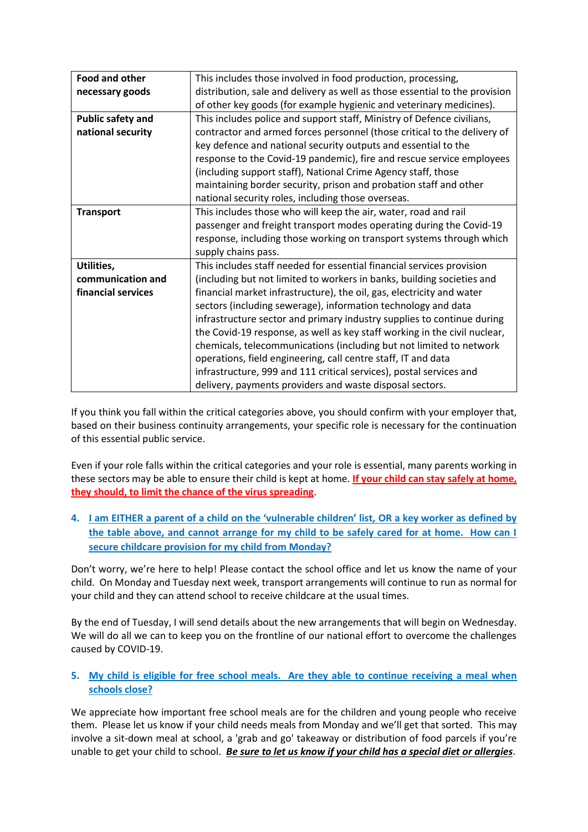| Food and other           | This includes those involved in food production, processing,                |
|--------------------------|-----------------------------------------------------------------------------|
| necessary goods          | distribution, sale and delivery as well as those essential to the provision |
|                          | of other key goods (for example hygienic and veterinary medicines).         |
| <b>Public safety and</b> | This includes police and support staff, Ministry of Defence civilians,      |
| national security        | contractor and armed forces personnel (those critical to the delivery of    |
|                          | key defence and national security outputs and essential to the              |
|                          | response to the Covid-19 pandemic), fire and rescue service employees       |
|                          | (including support staff), National Crime Agency staff, those               |
|                          | maintaining border security, prison and probation staff and other           |
|                          | national security roles, including those overseas.                          |
| <b>Transport</b>         | This includes those who will keep the air, water, road and rail             |
|                          | passenger and freight transport modes operating during the Covid-19         |
|                          | response, including those working on transport systems through which        |
|                          | supply chains pass.                                                         |
| Utilities,               | This includes staff needed for essential financial services provision       |
| communication and        | (including but not limited to workers in banks, building societies and      |
| financial services       | financial market infrastructure), the oil, gas, electricity and water       |
|                          | sectors (including sewerage), information technology and data               |
|                          | infrastructure sector and primary industry supplies to continue during      |
|                          | the Covid-19 response, as well as key staff working in the civil nuclear,   |
|                          | chemicals, telecommunications (including but not limited to network         |
|                          | operations, field engineering, call centre staff, IT and data               |
|                          | infrastructure, 999 and 111 critical services), postal services and         |
|                          | delivery, payments providers and waste disposal sectors.                    |

If you think you fall within the critical categories above, you should confirm with your employer that, based on their business continuity arrangements, your specific role is necessary for the continuation of this essential public service.

Even if your role falls within the critical categories and your role is essential, many parents working in these sectors may be able to ensure their child is kept at home. **If your child can stay safely at home, they should, to limit the chance of the virus spreading**.

**4. I am EITHER a parent of a child on the 'vulnerable children' list, OR a key worker as defined by the table above, and cannot arrange for my child to be safely cared for at home. How can I secure childcare provision for my child from Monday?**

Don't worry, we're here to help! Please contact the school office and let us know the name of your child. On Monday and Tuesday next week, transport arrangements will continue to run as normal for your child and they can attend school to receive childcare at the usual times.

By the end of Tuesday, I will send details about the new arrangements that will begin on Wednesday. We will do all we can to keep you on the frontline of our national effort to overcome the challenges caused by COVID-19.

# **5. My child is eligible for free school meals. Are they able to continue receiving a meal when schools close?**

We appreciate how important free school meals are for the children and young people who receive them. Please let us know if your child needs meals from Monday and we'll get that sorted. This may involve a sit-down meal at school, a 'grab and go' takeaway or distribution of food parcels if you're unable to get your child to school. *Be sure to let us know if your child has a special diet or allergies*.